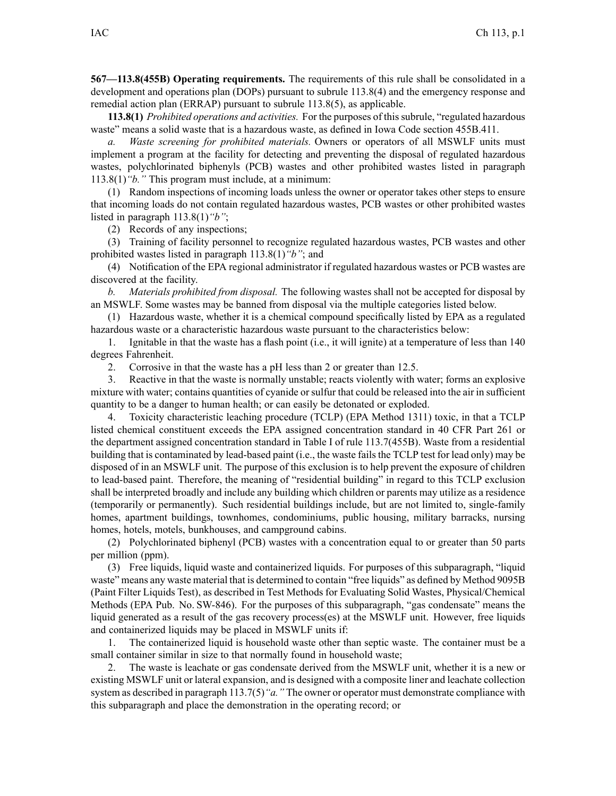**567—113.8(455B) Operating requirements.** The requirements of this rule shall be consolidated in <sup>a</sup> development and operations plan (DOPs) pursuan<sup>t</sup> to subrule 113.8(4) and the emergency response and remedial action plan (ERRAP) pursuan<sup>t</sup> to subrule 113.8(5), as applicable.

**113.8(1)** *Prohibited operations and activities.* For the purposes of thissubrule, "regulated hazardous waste" means <sup>a</sup> solid waste that is <sup>a</sup> hazardous waste, as defined in Iowa Code section 455B.411.

*a. Waste screening for prohibited materials.* Owners or operators of all MSWLF units must implement <sup>a</sup> program at the facility for detecting and preventing the disposal of regulated hazardous wastes, polychlorinated biphenyls (PCB) wastes and other prohibited wastes listed in paragraph 113.8(1)*"b."* This program must include, at <sup>a</sup> minimum:

(1) Random inspections of incoming loads unless the owner or operator takes other steps to ensure that incoming loads do not contain regulated hazardous wastes, PCB wastes or other prohibited wastes listed in paragraph 113.8(1)*"b"*;

(2) Records of any inspections;

(3) Training of facility personnel to recognize regulated hazardous wastes, PCB wastes and other prohibited wastes listed in paragraph 113.8(1)*"b"*; and

(4) Notification of the EPA regional administrator if regulated hazardous wastes or PCB wastes are discovered at the facility.

*b. Materials prohibited from disposal.* The following wastes shall not be accepted for disposal by an MSWLF. Some wastes may be banned from disposal via the multiple categories listed below.

(1) Hazardous waste, whether it is <sup>a</sup> chemical compound specifically listed by EPA as <sup>a</sup> regulated hazardous waste or <sup>a</sup> characteristic hazardous waste pursuan<sup>t</sup> to the characteristics below:

1. Ignitable in that the waste has <sup>a</sup> flash point (i.e., it will ignite) at <sup>a</sup> temperature of less than 140 degrees Fahrenheit.

2. Corrosive in that the waste has <sup>a</sup> pH less than 2 or greater than 12.5.

3. Reactive in that the waste is normally unstable; reacts violently with water; forms an explosive mixture with water; contains quantities of cyanide orsulfur that could be released into the air in sufficient quantity to be <sup>a</sup> danger to human health; or can easily be detonated or exploded.

4. Toxicity characteristic leaching procedure (TCLP) (EPA Method 1311) toxic, in that <sup>a</sup> TCLP listed chemical constituent exceeds the EPA assigned concentration standard in 40 CFR Part 261 or the department assigned concentration standard in Table I of rule 113.7(455B). Waste from <sup>a</sup> residential building that is contaminated by lead-based paint (i.e., the waste failsthe TCLP test for lead only) may be disposed of in an MSWLF unit. The purpose of this exclusion is to help preven<sup>t</sup> the exposure of children to lead-based paint. Therefore, the meaning of "residential building" in regard to this TCLP exclusion shall be interpreted broadly and include any building which children or parents may utilize as <sup>a</sup> residence (temporarily or permanently). Such residential buildings include, but are not limited to, single-family homes, apartment buildings, townhomes, condominiums, public housing, military barracks, nursing homes, hotels, motels, bunkhouses, and campground cabins.

(2) Polychlorinated biphenyl (PCB) wastes with <sup>a</sup> concentration equal to or greater than 50 parts per million (ppm).

(3) Free liquids, liquid waste and containerized liquids. For purposes of this subparagraph, "liquid waste" means any waste material that is determined to contain "free liquids" as defined by Method 9095B (Paint Filter Liquids Test), as described in Test Methods for Evaluating Solid Wastes, Physical/Chemical Methods (EPA Pub. No. SW-846). For the purposes of this subparagraph, "gas condensate" means the liquid generated as <sup>a</sup> result of the gas recovery process(es) at the MSWLF unit. However, free liquids and containerized liquids may be placed in MSWLF units if:

1. The containerized liquid is household waste other than septic waste. The container must be <sup>a</sup> small container similar in size to that normally found in household waste;

2. The waste is leachate or gas condensate derived from the MSWLF unit, whether it is <sup>a</sup> new or existing MSWLF unit or lateral expansion, and is designed with <sup>a</sup> composite liner and leachate collection system as described in paragraph 113.7(5)*"a."* The owner or operator must demonstrate compliance with this subparagraph and place the demonstration in the operating record; or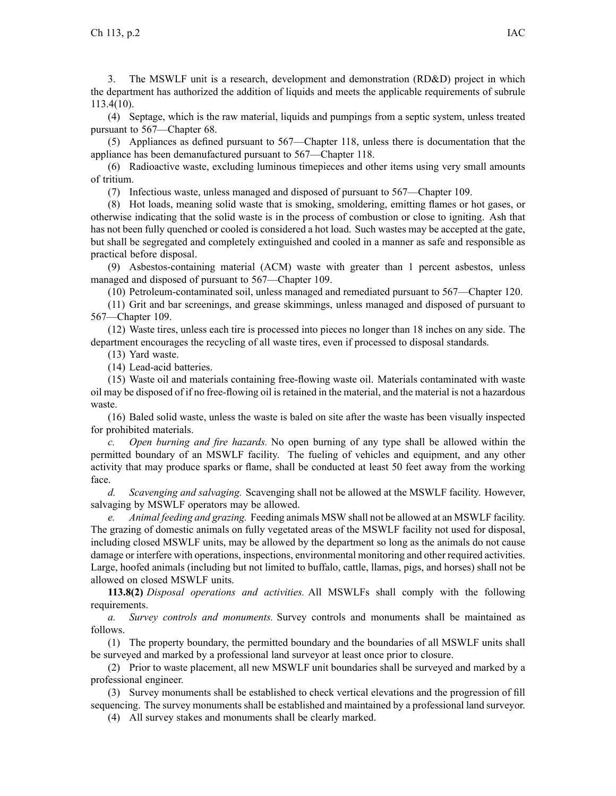3. The MSWLF unit is <sup>a</sup> research, development and demonstration (RD&D) project in which the department has authorized the addition of liquids and meets the applicable requirements of subrule 113.4(10).

(4) Septage, which is the raw material, liquids and pumpings from <sup>a</sup> septic system, unless treated pursuan<sup>t</sup> to 567—Chapter 68.

(5) Appliances as defined pursuan<sup>t</sup> to 567—Chapter 118, unless there is documentation that the appliance has been demanufactured pursuan<sup>t</sup> to 567—Chapter 118.

(6) Radioactive waste, excluding luminous timepieces and other items using very small amounts of tritium.

(7) Infectious waste, unless managed and disposed of pursuan<sup>t</sup> to 567—Chapter 109.

(8) Hot loads, meaning solid waste that is smoking, smoldering, emitting flames or hot gases, or otherwise indicating that the solid waste is in the process of combustion or close to igniting. Ash that has not been fully quenched or cooled is considered <sup>a</sup> hot load. Such wastes may be accepted at the gate, but shall be segregated and completely extinguished and cooled in <sup>a</sup> manner as safe and responsible as practical before disposal.

(9) Asbestos-containing material (ACM) waste with greater than 1 percen<sup>t</sup> asbestos, unless managed and disposed of pursuan<sup>t</sup> to 567—Chapter 109.

(10) Petroleum-contaminated soil, unless managed and remediated pursuan<sup>t</sup> to 567—Chapter 120.

(11) Grit and bar screenings, and grease skimmings, unless managed and disposed of pursuan<sup>t</sup> to 567—Chapter 109.

(12) Waste tires, unless each tire is processed into pieces no longer than 18 inches on any side. The department encourages the recycling of all waste tires, even if processed to disposal standards.

(13) Yard waste.

(14) Lead-acid batteries.

(15) Waste oil and materials containing free-flowing waste oil. Materials contaminated with waste oil may be disposed of if no free-flowing oil isretained in the material, and the material is not <sup>a</sup> hazardous waste.

(16) Baled solid waste, unless the waste is baled on site after the waste has been visually inspected for prohibited materials.

*c. Open burning and fire hazards.* No open burning of any type shall be allowed within the permitted boundary of an MSWLF facility. The fueling of vehicles and equipment, and any other activity that may produce sparks or flame, shall be conducted at least 50 feet away from the working face.

*d. Scavenging and salvaging.* Scavenging shall not be allowed at the MSWLF facility. However, salvaging by MSWLF operators may be allowed.

*e. Animal feeding and grazing.* Feeding animals MSW shall not be allowed at an MSWLF facility. The grazing of domestic animals on fully vegetated areas of the MSWLF facility not used for disposal, including closed MSWLF units, may be allowed by the department so long as the animals do not cause damage or interfere with operations, inspections, environmental monitoring and other required activities. Large, hoofed animals (including but not limited to buffalo, cattle, llamas, pigs, and horses) shall not be allowed on closed MSWLF units.

**113.8(2)** *Disposal operations and activities.* All MSWLFs shall comply with the following requirements.

*a. Survey controls and monuments.* Survey controls and monuments shall be maintained as follows.

(1) The property boundary, the permitted boundary and the boundaries of all MSWLF units shall be surveyed and marked by <sup>a</sup> professional land surveyor at least once prior to closure.

(2) Prior to waste placement, all new MSWLF unit boundaries shall be surveyed and marked by <sup>a</sup> professional engineer.

(3) Survey monuments shall be established to check vertical elevations and the progression of fill sequencing. The survey monuments shall be established and maintained by <sup>a</sup> professional land surveyor.

(4) All survey stakes and monuments shall be clearly marked.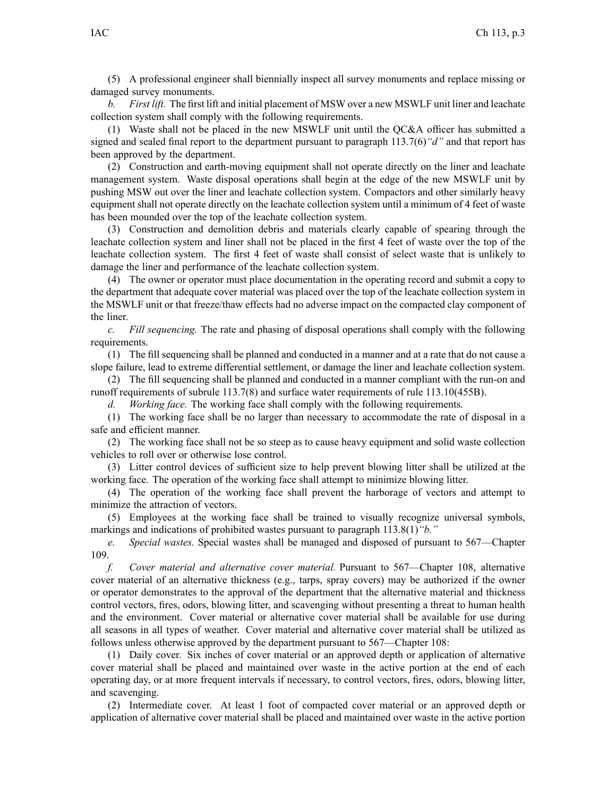(5) A professional engineer shall biennially inspect all survey monuments and replace missing or damaged survey monuments.

*b. First lift.* The first lift and initial placement of MSW over <sup>a</sup> new MSWLF unit liner and leachate collection system shall comply with the following requirements.

(1) Waste shall not be placed in the new MSWLF unit until the QC&A officer has submitted <sup>a</sup> signed and sealed final repor<sup>t</sup> to the department pursuan<sup>t</sup> to paragraph 113.7(6)*"d"* and that repor<sup>t</sup> has been approved by the department.

(2) Construction and earth-moving equipment shall not operate directly on the liner and leachate managemen<sup>t</sup> system. Waste disposal operations shall begin at the edge of the new MSWLF unit by pushing MSW out over the liner and leachate collection system. Compactors and other similarly heavy equipment shall not operate directly on the leachate collection system until <sup>a</sup> minimum of 4 feet of waste has been mounded over the top of the leachate collection system.

(3) Construction and demolition debris and materials clearly capable of spearing through the leachate collection system and liner shall not be placed in the first 4 feet of waste over the top of the leachate collection system. The first 4 feet of waste shall consist of select waste that is unlikely to damage the liner and performance of the leachate collection system.

(4) The owner or operator must place documentation in the operating record and submit <sup>a</sup> copy to the department that adequate cover material was placed over the top of the leachate collection system in the MSWLF unit or that freeze/thaw effects had no adverse impact on the compacted clay componen<sup>t</sup> of the liner.

*c. Fill sequencing.* The rate and phasing of disposal operations shall comply with the following requirements.

(1) The fill sequencing shall be planned and conducted in <sup>a</sup> manner and at <sup>a</sup> rate that do not cause <sup>a</sup> slope failure, lead to extreme differential settlement, or damage the liner and leachate collection system.

(2) The fill sequencing shall be planned and conducted in <sup>a</sup> manner compliant with the run-on and runoff requirements of subrule 113.7(8) and surface water requirements of rule 113.10(455B).

*d. Working face.* The working face shall comply with the following requirements.

(1) The working face shall be no larger than necessary to accommodate the rate of disposal in <sup>a</sup> safe and efficient manner.

(2) The working face shall not be so steep as to cause heavy equipment and solid waste collection vehicles to roll over or otherwise lose control.

(3) Litter control devices of sufficient size to help preven<sup>t</sup> blowing litter shall be utilized at the working face. The operation of the working face shall attempt to minimize blowing litter.

(4) The operation of the working face shall preven<sup>t</sup> the harborage of vectors and attempt to minimize the attraction of vectors.

(5) Employees at the working face shall be trained to visually recognize universal symbols, markings and indications of prohibited wastes pursuan<sup>t</sup> to paragraph 113.8(1)*"b."*

*e. Special wastes.* Special wastes shall be managed and disposed of pursuan<sup>t</sup> to 567—Chapter 109.

*f. Cover material and alternative cover material.* Pursuant to 567—Chapter 108, alternative cover material of an alternative thickness (e.g., tarps, spray covers) may be authorized if the owner or operator demonstrates to the approval of the department that the alternative material and thickness control vectors, fires, odors, blowing litter, and scavenging without presenting <sup>a</sup> threat to human health and the environment. Cover material or alternative cover material shall be available for use during all seasons in all types of weather. Cover material and alternative cover material shall be utilized as follows unless otherwise approved by the department pursuan<sup>t</sup> to 567—Chapter 108:

(1) Daily cover. Six inches of cover material or an approved depth or application of alternative cover material shall be placed and maintained over waste in the active portion at the end of each operating day, or at more frequent intervals if necessary, to control vectors, fires, odors, blowing litter, and scavenging.

(2) Intermediate cover. At least 1 foot of compacted cover material or an approved depth or application of alternative cover material shall be placed and maintained over waste in the active portion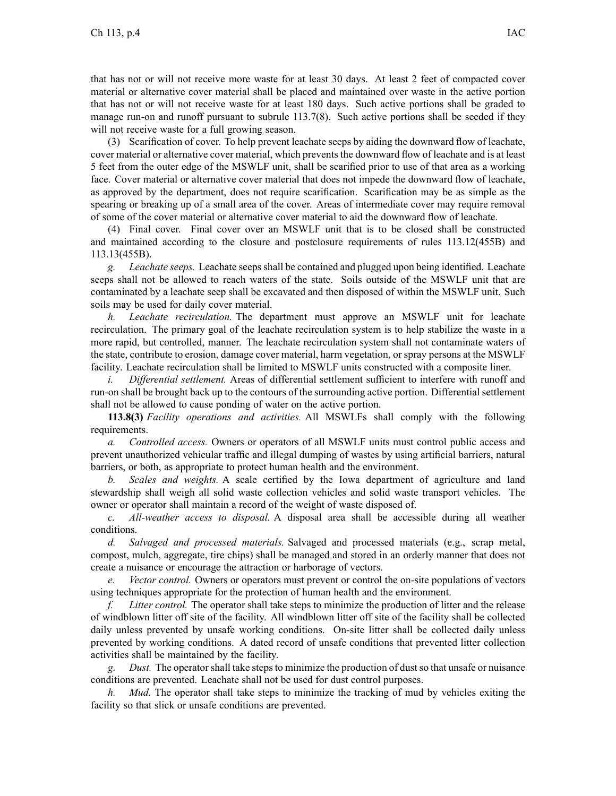that has not or will not receive more waste for at least 30 days. At least 2 feet of compacted cover material or alternative cover material shall be placed and maintained over waste in the active portion that has not or will not receive waste for at least 180 days. Such active portions shall be graded to manage run-on and runoff pursuan<sup>t</sup> to subrule 113.7(8). Such active portions shall be seeded if they will not receive waste for <sup>a</sup> full growing season.

(3) Scarification of cover. To help preven<sup>t</sup> leachate seeps by aiding the downward flow of leachate, cover material or alternative cover material, which prevents the downward flow of leachate and is at least 5 feet from the outer edge of the MSWLF unit, shall be scarified prior to use of that area as <sup>a</sup> working face. Cover material or alternative cover material that does not impede the downward flow of leachate, as approved by the department, does not require scarification. Scarification may be as simple as the spearing or breaking up of <sup>a</sup> small area of the cover. Areas of intermediate cover may require removal of some of the cover material or alternative cover material to aid the downward flow of leachate.

(4) Final cover. Final cover over an MSWLF unit that is to be closed shall be constructed and maintained according to the closure and postclosure requirements of rules 113.12(455B) and 113.13(455B).

*g. Leachate seeps.* Leachate seepsshall be contained and plugged upon being identified. Leachate seeps shall not be allowed to reach waters of the state. Soils outside of the MSWLF unit that are contaminated by <sup>a</sup> leachate seep shall be excavated and then disposed of within the MSWLF unit. Such soils may be used for daily cover material.

*h. Leachate recirculation.* The department must approve an MSWLF unit for leachate recirculation. The primary goal of the leachate recirculation system is to help stabilize the waste in <sup>a</sup> more rapid, but controlled, manner. The leachate recirculation system shall not contaminate waters of the state, contribute to erosion, damage cover material, harm vegetation, or spray persons at the MSWLF facility. Leachate recirculation shall be limited to MSWLF units constructed with <sup>a</sup> composite liner.

*i. Differential settlement.* Areas of differential settlement sufficient to interfere with runoff and run-on shall be brought back up to the contours of the surrounding active portion. Differential settlement shall not be allowed to cause ponding of water on the active portion.

**113.8(3)** *Facility operations and activities.* All MSWLFs shall comply with the following requirements.

*a. Controlled access.* Owners or operators of all MSWLF units must control public access and preven<sup>t</sup> unauthorized vehicular traffic and illegal dumping of wastes by using artificial barriers, natural barriers, or both, as appropriate to protect human health and the environment.

*b. Scales and weights.* A scale certified by the Iowa department of agriculture and land stewardship shall weigh all solid waste collection vehicles and solid waste transport vehicles. The owner or operator shall maintain <sup>a</sup> record of the weight of waste disposed of.

*c. All-weather access to disposal.* A disposal area shall be accessible during all weather conditions.

*d. Salvaged and processed materials.* Salvaged and processed materials (e.g., scrap metal, compost, mulch, aggregate, tire chips) shall be managed and stored in an orderly manner that does not create <sup>a</sup> nuisance or encourage the attraction or harborage of vectors.

*e. Vector control.* Owners or operators must preven<sup>t</sup> or control the on-site populations of vectors using techniques appropriate for the protection of human health and the environment.

*f. Litter control.* The operator shall take steps to minimize the production of litter and the release of windblown litter off site of the facility. All windblown litter off site of the facility shall be collected daily unless prevented by unsafe working conditions. On-site litter shall be collected daily unless prevented by working conditions. A dated record of unsafe conditions that prevented litter collection activities shall be maintained by the facility.

*g. Dust.* The operator shall take steps to minimize the production of dust so that unsafe or nuisance conditions are prevented. Leachate shall not be used for dust control purposes.

*h. Mud.* The operator shall take steps to minimize the tracking of mud by vehicles exiting the facility so that slick or unsafe conditions are prevented.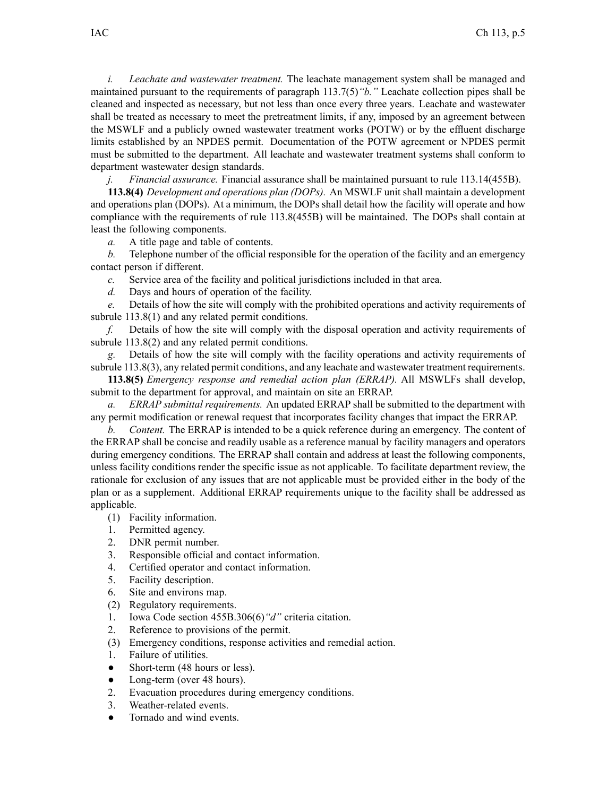*i. Leachate and wastewater treatment.* The leachate managemen<sup>t</sup> system shall be managed and maintained pursuan<sup>t</sup> to the requirements of paragraph 113.7(5)*"b."* Leachate collection pipes shall be cleaned and inspected as necessary, but not less than once every three years. Leachate and wastewater shall be treated as necessary to meet the pretreatment limits, if any, imposed by an agreemen<sup>t</sup> between the MSWLF and <sup>a</sup> publicly owned wastewater treatment works (POTW) or by the effluent discharge limits established by an NPDES permit. Documentation of the POTW agreemen<sup>t</sup> or NPDES permit must be submitted to the department. All leachate and wastewater treatment systems shall conform to department wastewater design standards.

*j. Financial assurance.* Financial assurance shall be maintained pursuan<sup>t</sup> to rule 113.14(455B).

**113.8(4)** *Development and operations plan (DOPs).* An MSWLF unit shall maintain <sup>a</sup> development and operations plan (DOPs). At <sup>a</sup> minimum, the DOPs shall detail how the facility will operate and how compliance with the requirements of rule 113.8(455B) will be maintained. The DOPs shall contain at least the following components.

*a.* A title page and table of contents.

*b.* Telephone number of the official responsible for the operation of the facility and an emergency contact person if different.

*c.* Service area of the facility and political jurisdictions included in that area.

*d.* Days and hours of operation of the facility.

*e.* Details of how the site will comply with the prohibited operations and activity requirements of subrule 113.8(1) and any related permit conditions.

*f.* Details of how the site will comply with the disposal operation and activity requirements of subrule 113.8(2) and any related permit conditions.

*g.* Details of how the site will comply with the facility operations and activity requirements of subrule 113.8(3), any related permit conditions, and any leachate and wastewater treatment requirements.

**113.8(5)** *Emergency response and remedial action plan (ERRAP).* All MSWLFs shall develop, submit to the department for approval, and maintain on site an ERRAP.

*a. ERRAP submittal requirements.* An updated ERRAP shall be submitted to the department with any permit modification or renewal reques<sup>t</sup> that incorporates facility changes that impact the ERRAP.

*b. Content.* The ERRAP is intended to be <sup>a</sup> quick reference during an emergency. The content of the ERRAP shall be concise and readily usable as <sup>a</sup> reference manual by facility managers and operators during emergency conditions. The ERRAP shall contain and address at least the following components, unless facility conditions render the specific issue as not applicable. To facilitate department review, the rationale for exclusion of any issues that are not applicable must be provided either in the body of the plan or as <sup>a</sup> supplement. Additional ERRAP requirements unique to the facility shall be addressed as applicable.

- (1) Facility information.
- 1. Permitted agency.
- 2. DNR permit number.
- 3. Responsible official and contact information.
- 4. Certified operator and contact information.
- 5. Facility description.
- 6. Site and environs map.
- (2) Regulatory requirements.
- 1. Iowa Code section 455B.306(6)*"d"* criteria citation.
- 2. Reference to provisions of the permit.
- (3) Emergency conditions, response activities and remedial action.
- 1. Failure of utilities.
- $\bullet$ Short-term (48 hours or less).
- $\bullet$ Long-term (over 48 hours).
- 2. Evacuation procedures during emergency conditions.
- 3. Weather-related events.
- ●Tornado and wind events.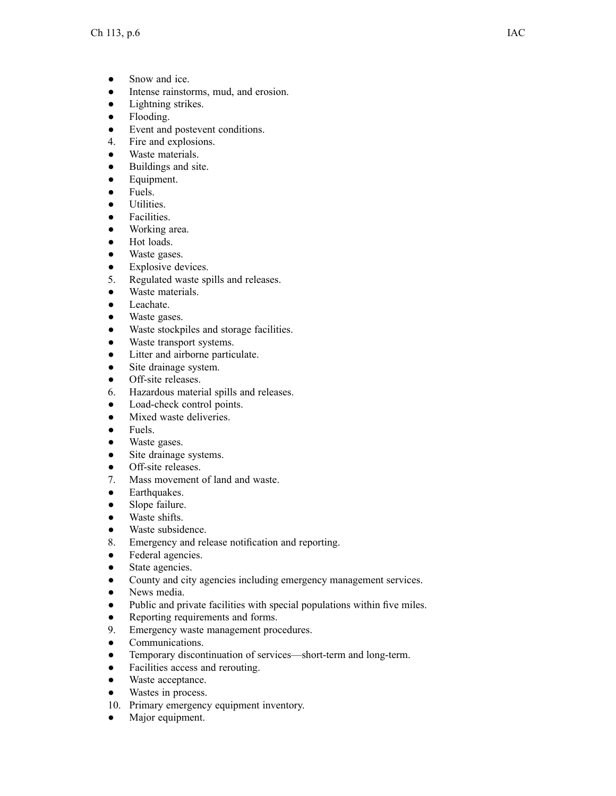- $\bullet$ Snow and ice.
- $\bullet$ Intense rainstorms, mud, and erosion.
- $\bullet$ Lightning strikes.
- $\bullet$ Flooding.
- $\bullet$ Event and postevent conditions.
- 4. Fire and explosions.
- $\bullet$ Waste materials.
- $\bullet$ Buildings and site.
- $\bullet$ Equipment.
- $\bullet$ Fuels.
- $\bullet$ Utilities.
- $\bullet$ Facilities.
- $\bullet$ Working area.
- ●Hot loads.
- $\bullet$ Waste gases.
- $\bullet$ Explosive devices.
- 5. Regulated waste spills and releases.
- ●Waste materials.
- $\bullet$ Leachate.
- $\bullet$ Waste gases.
- $\bullet$ Waste stockpiles and storage facilities.
- $\bullet$ Waste transport systems.
- ●Litter and airborne particulate.
- $\bullet$ Site drainage system.
- $\bullet$ Off-site releases.
- 6. Hazardous material spills and releases.
- $\bullet$ Load-check control points.
- $\bullet$ Mixed waste deliveries.
- ●Fuels.
- ●Waste gases.
- $\bullet$ Site drainage systems.
- $\bullet$ Off-site releases.
- 7. Mass movement of land and waste.
- $\bullet$ Earthquakes.
- $\bullet$ Slope failure.
- $\bullet$ Waste shifts.
- $\bullet$ Waste subsidence.
- 8. Emergency and release notification and reporting.
- $\bullet$ Federal agencies.
- $\bullet$ State agencies.
- $\bullet$ County and city agencies including emergency managemen<sup>t</sup> services.
- $\bullet$ News media.
- $\bullet$ Public and private facilities with special populations within five miles.
- $\bullet$ Reporting requirements and forms.
- 9. Emergency waste managemen<sup>t</sup> procedures.
- $\bullet$ Communications.
- $\bullet$ Temporary discontinuation of services—short-term and long-term.
- $\bullet$ Facilities access and rerouting.
- $\bullet$ Waste acceptance.
- $\bullet$ Wastes in process.
- 10. Primary emergency equipment inventory.
- ●Major equipment.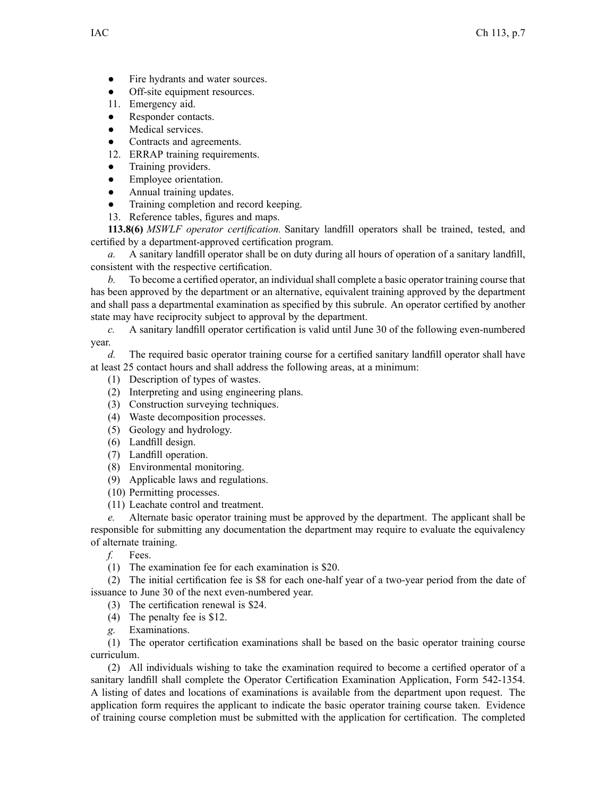- $\bullet$ Fire hydrants and water sources.
- Off-site equipment resources.
- 11. Emergency aid.
- $\bullet$ Responder contacts.
- $\bullet$ Medical services.
- $\bullet$ Contracts and agreements.
- 12. ERRAP training requirements.
- ●Training providers.
- Employee orientation.
- $\bullet$ Annual training updates.
- ●Training completion and record keeping.
- 13. Reference tables, figures and maps.

**113.8(6)** *MSWLF operator certification.* Sanitary landfill operators shall be trained, tested, and certified by <sup>a</sup> department-approved certification program.

*a.* A sanitary landfill operator shall be on duty during all hours of operation of <sup>a</sup> sanitary landfill, consistent with the respective certification.

*b.* To become a certified operator, an individual shall complete a basic operator training course that has been approved by the department or an alternative, equivalent training approved by the department and shall pass <sup>a</sup> departmental examination as specified by this subrule. An operator certified by another state may have reciprocity subject to approval by the department.

*c.* A sanitary landfill operator certification is valid until June 30 of the following even-numbered year.

*d.* The required basic operator training course for <sup>a</sup> certified sanitary landfill operator shall have at least 25 contact hours and shall address the following areas, at <sup>a</sup> minimum:

- (1) Description of types of wastes.
- (2) Interpreting and using engineering plans.
- (3) Construction surveying techniques.
- (4) Waste decomposition processes.
- (5) Geology and hydrology.
- (6) Landfill design.
- (7) Landfill operation.
- (8) Environmental monitoring.
- (9) Applicable laws and regulations.
- (10) Permitting processes.
- (11) Leachate control and treatment.

*e.* Alternate basic operator training must be approved by the department. The applicant shall be responsible for submitting any documentation the department may require to evaluate the equivalency of alternate training.

- *f.* Fees.
- (1) The examination fee for each examination is \$20.

(2) The initial certification fee is \$8 for each one-half year of <sup>a</sup> two-year period from the date of issuance to June 30 of the next even-numbered year.

- (3) The certification renewal is \$24.
- (4) The penalty fee is \$12.
- *g.* Examinations.

(1) The operator certification examinations shall be based on the basic operator training course curriculum.

(2) All individuals wishing to take the examination required to become <sup>a</sup> certified operator of <sup>a</sup> sanitary landfill shall complete the Operator Certification Examination Application, Form 542-1354. A listing of dates and locations of examinations is available from the department upon request. The application form requires the applicant to indicate the basic operator training course taken. Evidence of training course completion must be submitted with the application for certification. The completed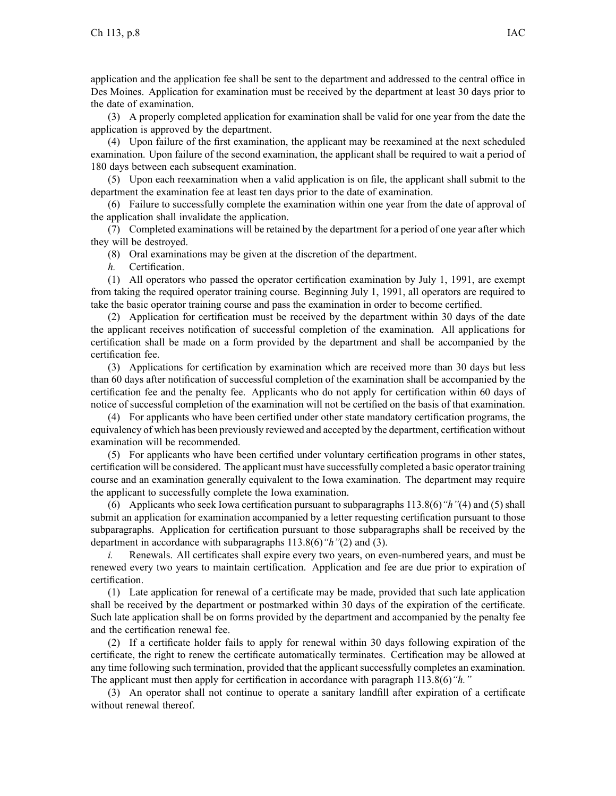application and the application fee shall be sent to the department and addressed to the central office in Des Moines. Application for examination must be received by the department at least 30 days prior to the date of examination.

(3) A properly completed application for examination shall be valid for one year from the date the application is approved by the department.

(4) Upon failure of the first examination, the applicant may be reexamined at the next scheduled examination. Upon failure of the second examination, the applicant shall be required to wait <sup>a</sup> period of 180 days between each subsequent examination.

(5) Upon each reexamination when <sup>a</sup> valid application is on file, the applicant shall submit to the department the examination fee at least ten days prior to the date of examination.

(6) Failure to successfully complete the examination within one year from the date of approval of the application shall invalidate the application.

(7) Completed examinations will be retained by the department for <sup>a</sup> period of one year after which they will be destroyed.

(8) Oral examinations may be given at the discretion of the department.

*h.* Certification.

(1) All operators who passed the operator certification examination by July 1, 1991, are exemp<sup>t</sup> from taking the required operator training course. Beginning July 1, 1991, all operators are required to take the basic operator training course and pass the examination in order to become certified.

(2) Application for certification must be received by the department within 30 days of the date the applicant receives notification of successful completion of the examination. All applications for certification shall be made on <sup>a</sup> form provided by the department and shall be accompanied by the certification fee.

(3) Applications for certification by examination which are received more than 30 days but less than 60 days after notification of successful completion of the examination shall be accompanied by the certification fee and the penalty fee. Applicants who do not apply for certification within 60 days of notice of successful completion of the examination will not be certified on the basis of that examination.

(4) For applicants who have been certified under other state mandatory certification programs, the equivalency of which has been previously reviewed and accepted by the department, certification without examination will be recommended.

(5) For applicants who have been certified under voluntary certification programs in other states, certification will be considered. The applicant must have successfully completed <sup>a</sup> basic operator training course and an examination generally equivalent to the Iowa examination. The department may require the applicant to successfully complete the Iowa examination.

(6) Applicants who seek Iowa certification pursuan<sup>t</sup> to subparagraphs 113.8(6)*"h"*(4) and (5) shall submit an application for examination accompanied by <sup>a</sup> letter requesting certification pursuan<sup>t</sup> to those subparagraphs. Application for certification pursuan<sup>t</sup> to those subparagraphs shall be received by the department in accordance with subparagraphs 113.8(6)*"h"*(2) and (3).

*i.* Renewals. All certificates shall expire every two years, on even-numbered years, and must be renewed every two years to maintain certification. Application and fee are due prior to expiration of certification.

(1) Late application for renewal of <sup>a</sup> certificate may be made, provided that such late application shall be received by the department or postmarked within 30 days of the expiration of the certificate. Such late application shall be on forms provided by the department and accompanied by the penalty fee and the certification renewal fee.

(2) If <sup>a</sup> certificate holder fails to apply for renewal within 30 days following expiration of the certificate, the right to renew the certificate automatically terminates. Certification may be allowed at any time following such termination, provided that the applicant successfully completes an examination. The applicant must then apply for certification in accordance with paragraph 113.8(6)*"h."*

(3) An operator shall not continue to operate <sup>a</sup> sanitary landfill after expiration of <sup>a</sup> certificate without renewal thereof.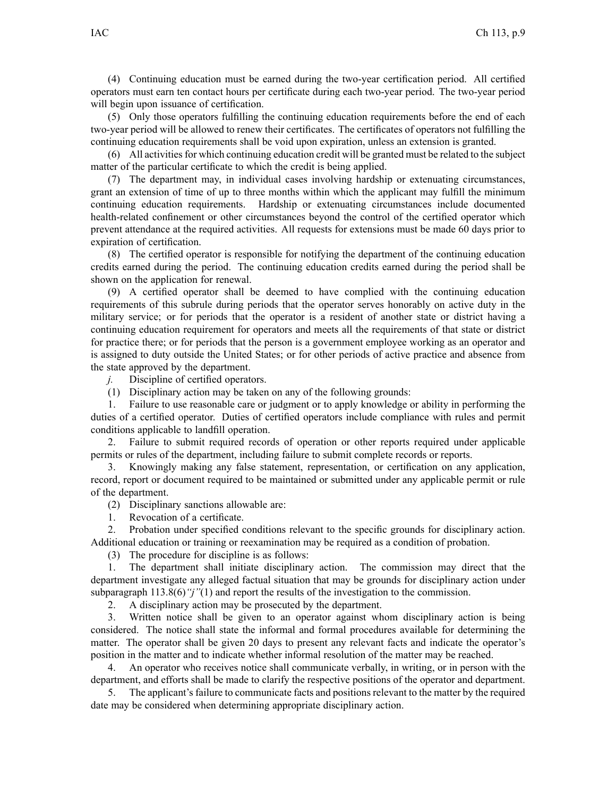(4) Continuing education must be earned during the two-year certification period. All certified operators must earn ten contact hours per certificate during each two-year period. The two-year period will begin upon issuance of certification.

(5) Only those operators fulfilling the continuing education requirements before the end of each two-year period will be allowed to renew their certificates. The certificates of operators not fulfilling the continuing education requirements shall be void upon expiration, unless an extension is granted.

 $(6)$  All activities for which continuing education credit will be granted must be related to the subject matter of the particular certificate to which the credit is being applied.

(7) The department may, in individual cases involving hardship or extenuating circumstances, gran<sup>t</sup> an extension of time of up to three months within which the applicant may fulfill the minimum continuing education requirements. Hardship or extenuating circumstances include documented health-related confinement or other circumstances beyond the control of the certified operator which preven<sup>t</sup> attendance at the required activities. All requests for extensions must be made 60 days prior to expiration of certification.

(8) The certified operator is responsible for notifying the department of the continuing education credits earned during the period. The continuing education credits earned during the period shall be shown on the application for renewal.

(9) A certified operator shall be deemed to have complied with the continuing education requirements of this subrule during periods that the operator serves honorably on active duty in the military service; or for periods that the operator is <sup>a</sup> resident of another state or district having <sup>a</sup> continuing education requirement for operators and meets all the requirements of that state or district for practice there; or for periods that the person is <sup>a</sup> governmen<sup>t</sup> employee working as an operator and is assigned to duty outside the United States; or for other periods of active practice and absence from the state approved by the department.

*j.* Discipline of certified operators.

(1) Disciplinary action may be taken on any of the following grounds:

1. Failure to use reasonable care or judgment or to apply knowledge or ability in performing the duties of <sup>a</sup> certified operator. Duties of certified operators include compliance with rules and permit conditions applicable to landfill operation.

2. Failure to submit required records of operation or other reports required under applicable permits or rules of the department, including failure to submit complete records or reports.

3. Knowingly making any false statement, representation, or certification on any application, record, repor<sup>t</sup> or document required to be maintained or submitted under any applicable permit or rule of the department.

(2) Disciplinary sanctions allowable are:

1. Revocation of <sup>a</sup> certificate.

2. Probation under specified conditions relevant to the specific grounds for disciplinary action. Additional education or training or reexamination may be required as <sup>a</sup> condition of probation.

(3) The procedure for discipline is as follows:

1. The department shall initiate disciplinary action. The commission may direct that the department investigate any alleged factual situation that may be grounds for disciplinary action under subparagraph 113.8(6) "*j*"(1) and report the results of the investigation to the commission.

2. A disciplinary action may be prosecuted by the department.

3. Written notice shall be given to an operator against whom disciplinary action is being considered. The notice shall state the informal and formal procedures available for determining the matter. The operator shall be given 20 days to presen<sup>t</sup> any relevant facts and indicate the operator's position in the matter and to indicate whether informal resolution of the matter may be reached.

4. An operator who receives notice shall communicate verbally, in writing, or in person with the department, and efforts shall be made to clarify the respective positions of the operator and department.

5. The applicant'sfailure to communicate facts and positionsrelevant to the matter by the required date may be considered when determining appropriate disciplinary action.